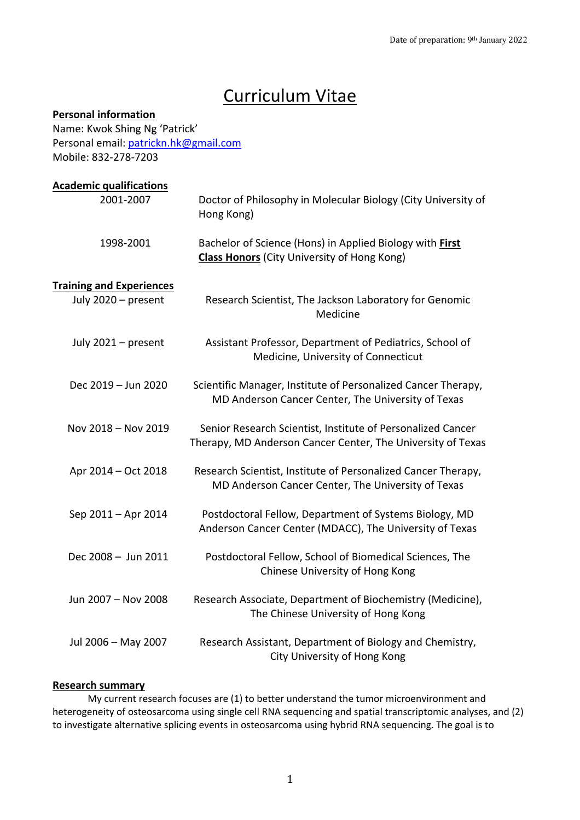# Curriculum Vitae

## **Personal information**

Name: Kwok Shing Ng 'Patrick' Personal email: patrickn.hk@gmail.com Mobile: 832-278-7203

| <b>Academic qualifications</b>  |                                                                                                                            |
|---------------------------------|----------------------------------------------------------------------------------------------------------------------------|
| 2001-2007                       | Doctor of Philosophy in Molecular Biology (City University of<br>Hong Kong)                                                |
| 1998-2001                       | Bachelor of Science (Hons) in Applied Biology with First<br><b>Class Honors</b> (City University of Hong Kong)             |
| <b>Training and Experiences</b> |                                                                                                                            |
| July 2020 - present             | Research Scientist, The Jackson Laboratory for Genomic<br>Medicine                                                         |
| July 2021 - present             | Assistant Professor, Department of Pediatrics, School of<br>Medicine, University of Connecticut                            |
| Dec 2019 - Jun 2020             | Scientific Manager, Institute of Personalized Cancer Therapy,<br>MD Anderson Cancer Center, The University of Texas        |
| Nov 2018 - Nov 2019             | Senior Research Scientist, Institute of Personalized Cancer<br>Therapy, MD Anderson Cancer Center, The University of Texas |
| Apr 2014 - Oct 2018             | Research Scientist, Institute of Personalized Cancer Therapy,<br>MD Anderson Cancer Center, The University of Texas        |
| Sep 2011 - Apr 2014             | Postdoctoral Fellow, Department of Systems Biology, MD<br>Anderson Cancer Center (MDACC), The University of Texas          |
| Dec 2008 - Jun 2011             | Postdoctoral Fellow, School of Biomedical Sciences, The<br>Chinese University of Hong Kong                                 |
| Jun 2007 - Nov 2008             | Research Associate, Department of Biochemistry (Medicine),<br>The Chinese University of Hong Kong                          |
| Jul 2006 - May 2007             | Research Assistant, Department of Biology and Chemistry,<br>City University of Hong Kong                                   |

## **Research summary**

My current research focuses are (1) to better understand the tumor microenvironment and heterogeneity of osteosarcoma using single cell RNA sequencing and spatial transcriptomic analyses, and (2) to investigate alternative splicing events in osteosarcoma using hybrid RNA sequencing. The goal is to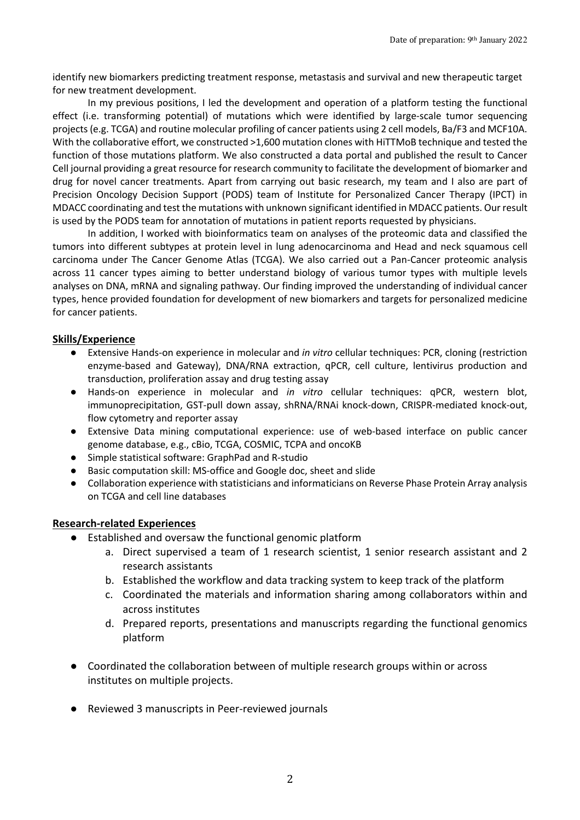identify new biomarkers predicting treatment response, metastasis and survival and new therapeutic target for new treatment development.

In my previous positions, I led the development and operation of a platform testing the functional effect (i.e. transforming potential) of mutations which were identified by large-scale tumor sequencing projects (e.g. TCGA) and routine molecular profiling of cancer patients using 2 cell models, Ba/F3 and MCF10A. With the collaborative effort, we constructed >1,600 mutation clones with HiTTMoB technique and tested the function of those mutations platform. We also constructed a data portal and published the result to Cancer Cell journal providing a great resource for research community to facilitate the development of biomarker and drug for novel cancer treatments. Apart from carrying out basic research, my team and I also are part of Precision Oncology Decision Support (PODS) team of Institute for Personalized Cancer Therapy (IPCT) in MDACC coordinating and test the mutations with unknown significant identified in MDACC patients. Our result is used by the PODS team for annotation of mutations in patient reports requested by physicians.

In addition, I worked with bioinformatics team on analyses of the proteomic data and classified the tumors into different subtypes at protein level in lung adenocarcinoma and Head and neck squamous cell carcinoma under The Cancer Genome Atlas (TCGA). We also carried out a Pan-Cancer proteomic analysis across 11 cancer types aiming to better understand biology of various tumor types with multiple levels analyses on DNA, mRNA and signaling pathway. Our finding improved the understanding of individual cancer types, hence provided foundation for development of new biomarkers and targets for personalized medicine for cancer patients.

#### **Skills/Experience**

- Extensive Hands-on experience in molecular and *in vitro* cellular techniques: PCR, cloning (restriction enzyme-based and Gateway), DNA/RNA extraction, qPCR, cell culture, lentivirus production and transduction, proliferation assay and drug testing assay
- Hands-on experience in molecular and *in vitro* cellular techniques: qPCR, western blot, immunoprecipitation, GST-pull down assay, shRNA/RNAi knock-down, CRISPR-mediated knock-out, flow cytometry and reporter assay
- Extensive Data mining computational experience: use of web-based interface on public cancer genome database, e.g., cBio, TCGA, COSMIC, TCPA and oncoKB
- Simple statistical software: GraphPad and R-studio
- Basic computation skill: MS-office and Google doc, sheet and slide
- Collaboration experience with statisticians and informaticians on Reverse Phase Protein Array analysis on TCGA and cell line databases

#### **Research-related Experiences**

- Established and oversaw the functional genomic platform
	- a. Direct supervised a team of 1 research scientist, 1 senior research assistant and 2 research assistants
	- b. Established the workflow and data tracking system to keep track of the platform
	- c. Coordinated the materials and information sharing among collaborators within and across institutes
	- d. Prepared reports, presentations and manuscripts regarding the functional genomics platform
- Coordinated the collaboration between of multiple research groups within or across institutes on multiple projects.
- Reviewed 3 manuscripts in Peer-reviewed journals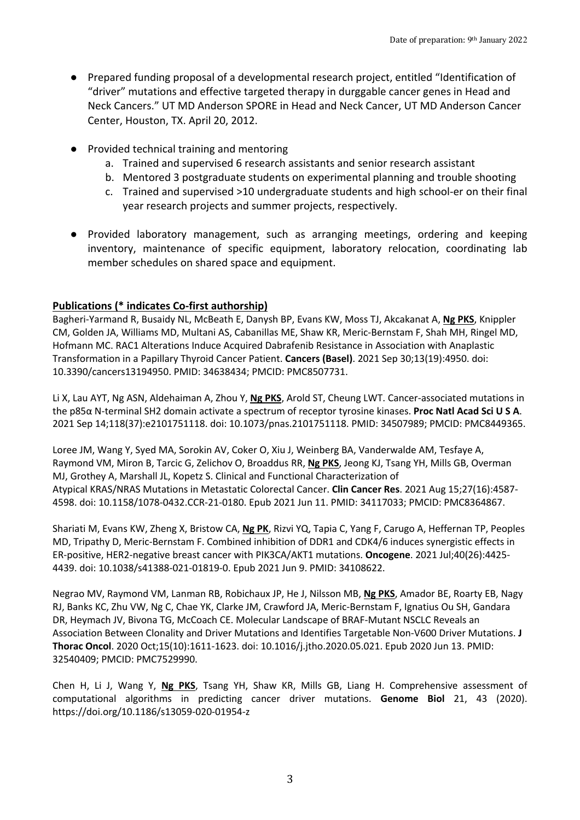- Prepared funding proposal of a developmental research project, entitled "Identification of "driver" mutations and effective targeted therapy in durggable cancer genes in Head and Neck Cancers." UT MD Anderson SPORE in Head and Neck Cancer, UT MD Anderson Cancer Center, Houston, TX. April 20, 2012.
- Provided technical training and mentoring
	- a. Trained and supervised 6 research assistants and senior research assistant
	- b. Mentored 3 postgraduate students on experimental planning and trouble shooting
	- c. Trained and supervised >10 undergraduate students and high school-er on their final year research projects and summer projects, respectively.
- Provided laboratory management, such as arranging meetings, ordering and keeping inventory, maintenance of specific equipment, laboratory relocation, coordinating lab member schedules on shared space and equipment.

## **Publications (\* indicates Co-first authorship)**

Bagheri-Yarmand R, Busaidy NL, McBeath E, Danysh BP, Evans KW, Moss TJ, Akcakanat A, **Ng PKS**, Knippler CM, Golden JA, Williams MD, Multani AS, Cabanillas ME, Shaw KR, Meric-Bernstam F, Shah MH, Ringel MD, Hofmann MC. RAC1 Alterations Induce Acquired Dabrafenib Resistance in Association with Anaplastic Transformation in a Papillary Thyroid Cancer Patient. **Cancers (Basel)**. 2021 Sep 30;13(19):4950. doi: 10.3390/cancers13194950. PMID: 34638434; PMCID: PMC8507731.

Li X, Lau AYT, Ng ASN, Aldehaiman A, Zhou Y, **Ng PKS**, Arold ST, Cheung LWT. Cancer-associated mutations in the p85α N-terminal SH2 domain activate a spectrum of receptor tyrosine kinases. **Proc Natl Acad Sci U S A**. 2021 Sep 14;118(37):e2101751118. doi: 10.1073/pnas.2101751118. PMID: 34507989; PMCID: PMC8449365.

Loree JM, Wang Y, Syed MA, Sorokin AV, Coker O, Xiu J, Weinberg BA, Vanderwalde AM, Tesfaye A, Raymond VM, Miron B, Tarcic G, Zelichov O, Broaddus RR, **Ng PKS**, Jeong KJ, Tsang YH, Mills GB, Overman MJ, Grothey A, Marshall JL, Kopetz S. Clinical and Functional Characterization of Atypical KRAS/NRAS Mutations in Metastatic Colorectal Cancer. **Clin Cancer Res**. 2021 Aug 15;27(16):4587- 4598. doi: 10.1158/1078-0432.CCR-21-0180. Epub 2021 Jun 11. PMID: 34117033; PMCID: PMC8364867.

Shariati M, Evans KW, Zheng X, Bristow CA, **Ng PK**, Rizvi YQ, Tapia C, Yang F, Carugo A, Heffernan TP, Peoples MD, Tripathy D, Meric-Bernstam F. Combined inhibition of DDR1 and CDK4/6 induces synergistic effects in ER-positive, HER2-negative breast cancer with PIK3CA/AKT1 mutations. **Oncogene**. 2021 Jul;40(26):4425- 4439. doi: 10.1038/s41388-021-01819-0. Epub 2021 Jun 9. PMID: 34108622.

Negrao MV, Raymond VM, Lanman RB, Robichaux JP, He J, Nilsson MB, **Ng PKS**, Amador BE, Roarty EB, Nagy RJ, Banks KC, Zhu VW, Ng C, Chae YK, Clarke JM, Crawford JA, Meric-Bernstam F, Ignatius Ou SH, Gandara DR, Heymach JV, Bivona TG, McCoach CE. Molecular Landscape of BRAF-Mutant NSCLC Reveals an Association Between Clonality and Driver Mutations and Identifies Targetable Non-V600 Driver Mutations. **J Thorac Oncol**. 2020 Oct;15(10):1611-1623. doi: 10.1016/j.jtho.2020.05.021. Epub 2020 Jun 13. PMID: 32540409; PMCID: PMC7529990.

Chen H, Li J, Wang Y, **Ng PKS**, Tsang YH, Shaw KR, Mills GB, Liang H. Comprehensive assessment of computational algorithms in predicting cancer driver mutations. **Genome Biol** 21, 43 (2020). https://doi.org/10.1186/s13059-020-01954-z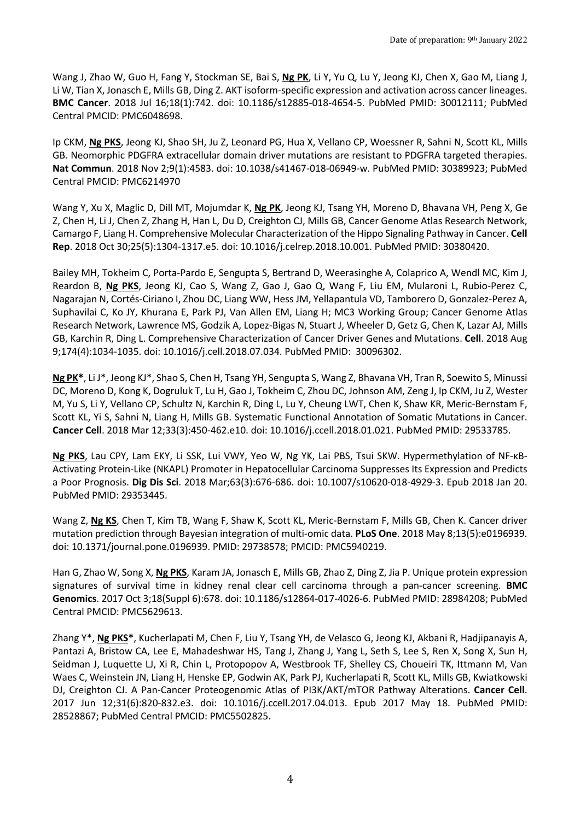Wang J, Zhao W, Guo H, Fang Y, Stockman SE, Bai S, **Ng PK**, Li Y, Yu Q, Lu Y, Jeong KJ, Chen X, Gao M, Liang J, Li W, Tian X, Jonasch E, Mills GB, Ding Z. AKT isoform-specific expression and activation across cancer lineages. **BMC Cancer**. 2018 Jul 16;18(1):742. doi: 10.1186/s12885-018-4654-5. PubMed PMID: 30012111; PubMed Central PMCID: PMC6048698.

Ip CKM, **Ng PKS**, Jeong KJ, Shao SH, Ju Z, Leonard PG, Hua X, Vellano CP, Woessner R, Sahni N, Scott KL, Mills GB. Neomorphic PDGFRA extracellular domain driver mutations are resistant to PDGFRA targeted therapies. **Nat Commun**. 2018 Nov 2;9(1):4583. doi: 10.1038/s41467-018-06949-w. PubMed PMID: 30389923; PubMed Central PMCID: PMC6214970

Wang Y, Xu X, Maglic D, Dill MT, Mojumdar K, **Ng PK**, Jeong KJ, Tsang YH, Moreno D, Bhavana VH, Peng X, Ge Z, Chen H, Li J, Chen Z, Zhang H, Han L, Du D, Creighton CJ, Mills GB, Cancer Genome Atlas Research Network, Camargo F, Liang H. Comprehensive Molecular Characterization of the Hippo Signaling Pathway in Cancer. **Cell Rep**. 2018 Oct 30;25(5):1304-1317.e5. doi: 10.1016/j.celrep.2018.10.001. PubMed PMID: 30380420.

Bailey MH, Tokheim C, Porta-Pardo E, Sengupta S, Bertrand D, Weerasinghe A, Colaprico A, Wendl MC, Kim J, Reardon B, **Ng PKS**, Jeong KJ, Cao S, Wang Z, Gao J, Gao Q, Wang F, Liu EM, Mularoni L, Rubio-Perez C, Nagarajan N, Cortés-Ciriano I, Zhou DC, Liang WW, Hess JM, Yellapantula VD, Tamborero D, Gonzalez-Perez A, Suphavilai C, Ko JY, Khurana E, Park PJ, Van Allen EM, Liang H; MC3 Working Group; Cancer Genome Atlas Research Network, Lawrence MS, Godzik A, Lopez-Bigas N, Stuart J, Wheeler D, Getz G, Chen K, Lazar AJ, Mills GB, Karchin R, Ding L. Comprehensive Characterization of Cancer Driver Genes and Mutations. **Cell**. 2018 Aug 9;174(4):1034-1035. doi: 10.1016/j.cell.2018.07.034. PubMed PMID: 30096302.

**Ng PK\***, Li J\*, Jeong KJ\*, Shao S, Chen H, Tsang YH, Sengupta S, Wang Z, Bhavana VH, Tran R, Soewito S, Minussi DC, Moreno D, Kong K, Dogruluk T, Lu H, Gao J, Tokheim C, Zhou DC, Johnson AM, Zeng J, Ip CKM, Ju Z, Wester M, Yu S, Li Y, Vellano CP, Schultz N, Karchin R, Ding L, Lu Y, Cheung LWT, Chen K, Shaw KR, Meric-Bernstam F, Scott KL, Yi S, Sahni N, Liang H, Mills GB. Systematic Functional Annotation of Somatic Mutations in Cancer. **Cancer Cell**. 2018 Mar 12;33(3):450-462.e10. doi: 10.1016/j.ccell.2018.01.021. PubMed PMID: 29533785.

**Ng PKS**, Lau CPY, Lam EKY, Li SSK, Lui VWY, Yeo W, Ng YK, Lai PBS, Tsui SKW. Hypermethylation of NF-κB-Activating Protein-Like (NKAPL) Promoter in Hepatocellular Carcinoma Suppresses Its Expression and Predicts a Poor Prognosis. **Dig Dis Sci**. 2018 Mar;63(3):676-686. doi: 10.1007/s10620-018-4929-3. Epub 2018 Jan 20. PubMed PMID: 29353445.

Wang Z, **Ng KS**, Chen T, Kim TB, Wang F, Shaw K, Scott KL, Meric-Bernstam F, Mills GB, Chen K. Cancer driver mutation prediction through Bayesian integration of multi-omic data. **PLoS One**. 2018 May 8;13(5):e0196939. doi: 10.1371/journal.pone.0196939. PMID: 29738578; PMCID: PMC5940219.

Han G, Zhao W, Song X, **Ng PKS**, Karam JA, Jonasch E, Mills GB, Zhao Z, Ding Z, Jia P. Unique protein expression signatures of survival time in kidney renal clear cell carcinoma through a pan-cancer screening. **BMC Genomics**. 2017 Oct 3;18(Suppl 6):678. doi: 10.1186/s12864-017-4026-6. PubMed PMID: 28984208; PubMed Central PMCID: PMC5629613.

Zhang Y\*, **Ng PKS\***, Kucherlapati M, Chen F, Liu Y, Tsang YH, de Velasco G, Jeong KJ, Akbani R, Hadjipanayis A, Pantazi A, Bristow CA, Lee E, Mahadeshwar HS, Tang J, Zhang J, Yang L, Seth S, Lee S, Ren X, Song X, Sun H, Seidman J, Luquette LJ, Xi R, Chin L, Protopopov A, Westbrook TF, Shelley CS, Choueiri TK, Ittmann M, Van Waes C, Weinstein JN, Liang H, Henske EP, Godwin AK, Park PJ, Kucherlapati R, Scott KL, Mills GB, Kwiatkowski DJ, Creighton CJ. A Pan-Cancer Proteogenomic Atlas of PI3K/AKT/mTOR Pathway Alterations. **Cancer Cell**. 2017 Jun 12;31(6):820-832.e3. doi: 10.1016/j.ccell.2017.04.013. Epub 2017 May 18. PubMed PMID: 28528867; PubMed Central PMCID: PMC5502825.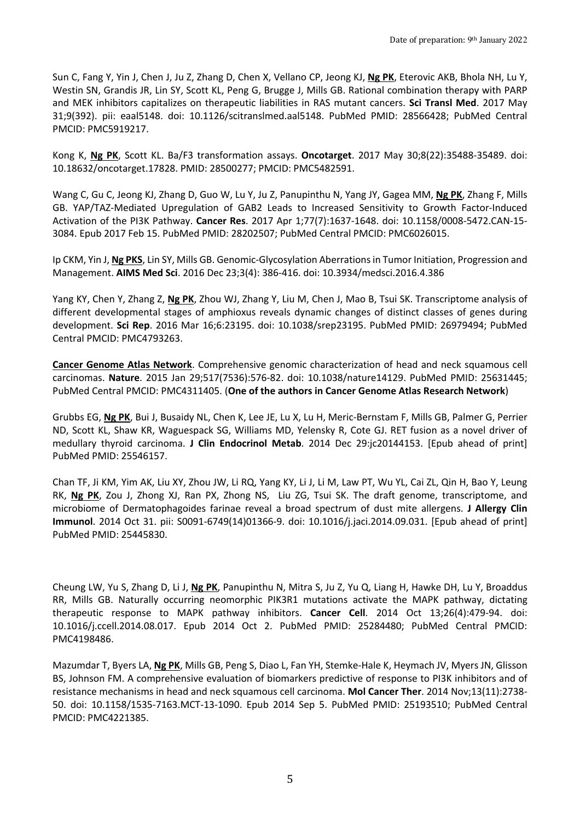Sun C, Fang Y, Yin J, Chen J, Ju Z, Zhang D, Chen X, Vellano CP, Jeong KJ, **Ng PK**, Eterovic AKB, Bhola NH, Lu Y, Westin SN, Grandis JR, Lin SY, Scott KL, Peng G, Brugge J, Mills GB. Rational combination therapy with PARP and MEK inhibitors capitalizes on therapeutic liabilities in RAS mutant cancers. **Sci Transl Med**. 2017 May 31;9(392). pii: eaal5148. doi: 10.1126/scitranslmed.aal5148. PubMed PMID: 28566428; PubMed Central PMCID: PMC5919217.

Kong K, **Ng PK**, Scott KL. Ba/F3 transformation assays. **Oncotarget**. 2017 May 30;8(22):35488-35489. doi: 10.18632/oncotarget.17828. PMID: 28500277; PMCID: PMC5482591.

Wang C, Gu C, Jeong KJ, Zhang D, Guo W, Lu Y, Ju Z, Panupinthu N, Yang JY, Gagea MM, **Ng PK**, Zhang F, Mills GB. YAP/TAZ-Mediated Upregulation of GAB2 Leads to Increased Sensitivity to Growth Factor-Induced Activation of the PI3K Pathway. **Cancer Res**. 2017 Apr 1;77(7):1637-1648. doi: 10.1158/0008-5472.CAN-15- 3084. Epub 2017 Feb 15. PubMed PMID: 28202507; PubMed Central PMCID: PMC6026015.

Ip CKM, Yin J, **Ng PKS**, Lin SY, Mills GB. Genomic-Glycosylation Aberrations in Tumor Initiation, Progression and Management. **AIMS Med Sci**. 2016 Dec 23;3(4): 386-416. doi: 10.3934/medsci.2016.4.386

Yang KY, Chen Y, Zhang Z, **Ng PK**, Zhou WJ, Zhang Y, Liu M, Chen J, Mao B, Tsui SK. Transcriptome analysis of different developmental stages of amphioxus reveals dynamic changes of distinct classes of genes during development. **Sci Rep**. 2016 Mar 16;6:23195. doi: 10.1038/srep23195. PubMed PMID: 26979494; PubMed Central PMCID: PMC4793263.

**Cancer Genome Atlas Network**. Comprehensive genomic characterization of head and neck squamous cell carcinomas. **Nature**. 2015 Jan 29;517(7536):576-82. doi: 10.1038/nature14129. PubMed PMID: 25631445; PubMed Central PMCID: PMC4311405. (**One of the authors in Cancer Genome Atlas Research Network**)

Grubbs EG, **Ng PK**, Bui J, Busaidy NL, Chen K, Lee JE, Lu X, Lu H, Meric-Bernstam F, Mills GB, Palmer G, Perrier ND, Scott KL, Shaw KR, Waguespack SG, Williams MD, Yelensky R, Cote GJ. RET fusion as a novel driver of medullary thyroid carcinoma. **J Clin Endocrinol Metab**. 2014 Dec 29:jc20144153. [Epub ahead of print] PubMed PMID: 25546157.

Chan TF, Ji KM, Yim AK, Liu XY, Zhou JW, Li RQ, Yang KY, Li J, Li M, Law PT, Wu YL, Cai ZL, Qin H, Bao Y, Leung RK, **Ng PK**, Zou J, Zhong XJ, Ran PX, Zhong NS, Liu ZG, Tsui SK. The draft genome, transcriptome, and microbiome of Dermatophagoides farinae reveal a broad spectrum of dust mite allergens. **J Allergy Clin Immunol**. 2014 Oct 31. pii: S0091-6749(14)01366-9. doi: 10.1016/j.jaci.2014.09.031. [Epub ahead of print] PubMed PMID: 25445830.

Cheung LW, Yu S, Zhang D, Li J, **Ng PK**, Panupinthu N, Mitra S, Ju Z, Yu Q, Liang H, Hawke DH, Lu Y, Broaddus RR, Mills GB. Naturally occurring neomorphic PIK3R1 mutations activate the MAPK pathway, dictating therapeutic response to MAPK pathway inhibitors. **Cancer Cell**. 2014 Oct 13;26(4):479-94. doi: 10.1016/j.ccell.2014.08.017. Epub 2014 Oct 2. PubMed PMID: 25284480; PubMed Central PMCID: PMC4198486.

Mazumdar T, Byers LA, **Ng PK**, Mills GB, Peng S, Diao L, Fan YH, Stemke-Hale K, Heymach JV, Myers JN, Glisson BS, Johnson FM. A comprehensive evaluation of biomarkers predictive of response to PI3K inhibitors and of resistance mechanisms in head and neck squamous cell carcinoma. **Mol Cancer Ther**. 2014 Nov;13(11):2738- 50. doi: 10.1158/1535-7163.MCT-13-1090. Epub 2014 Sep 5. PubMed PMID: 25193510; PubMed Central PMCID: PMC4221385.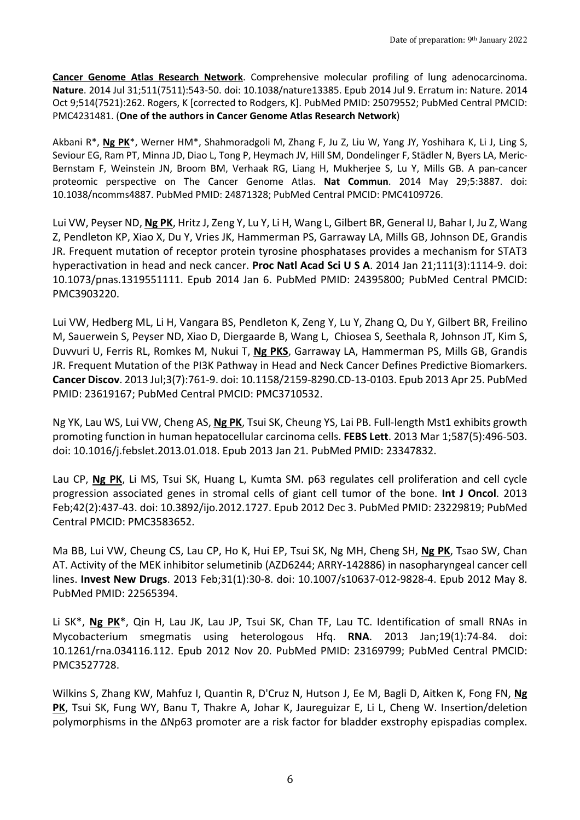**Cancer Genome Atlas Research Network**. Comprehensive molecular profiling of lung adenocarcinoma. **Nature**. 2014 Jul 31;511(7511):543-50. doi: 10.1038/nature13385. Epub 2014 Jul 9. Erratum in: Nature. 2014 Oct 9;514(7521):262. Rogers, K [corrected to Rodgers, K]. PubMed PMID: 25079552; PubMed Central PMCID: PMC4231481. (**One of the authors in Cancer Genome Atlas Research Network**)

Akbani R\*, **Ng PK**\*, Werner HM\*, Shahmoradgoli M, Zhang F, Ju Z, Liu W, Yang JY, Yoshihara K, Li J, Ling S, Seviour EG, Ram PT, Minna JD, Diao L, Tong P, Heymach JV, Hill SM, Dondelinger F, Städler N, Byers LA, Meric-Bernstam F, Weinstein JN, Broom BM, Verhaak RG, Liang H, Mukherjee S, Lu Y, Mills GB. A pan-cancer proteomic perspective on The Cancer Genome Atlas. **Nat Commun**. 2014 May 29;5:3887. doi: 10.1038/ncomms4887. PubMed PMID: 24871328; PubMed Central PMCID: PMC4109726.

Lui VW, Peyser ND, **Ng PK**, Hritz J, Zeng Y, Lu Y, Li H, Wang L, Gilbert BR, General IJ, Bahar I, Ju Z, Wang Z, Pendleton KP, Xiao X, Du Y, Vries JK, Hammerman PS, Garraway LA, Mills GB, Johnson DE, Grandis JR. Frequent mutation of receptor protein tyrosine phosphatases provides a mechanism for STAT3 hyperactivation in head and neck cancer. **Proc Natl Acad Sci U S A**. 2014 Jan 21;111(3):1114-9. doi: 10.1073/pnas.1319551111. Epub 2014 Jan 6. PubMed PMID: 24395800; PubMed Central PMCID: PMC3903220.

Lui VW, Hedberg ML, Li H, Vangara BS, Pendleton K, Zeng Y, Lu Y, Zhang Q, Du Y, Gilbert BR, Freilino M, Sauerwein S, Peyser ND, Xiao D, Diergaarde B, Wang L, Chiosea S, Seethala R, Johnson JT, Kim S, Duvvuri U, Ferris RL, Romkes M, Nukui T, **Ng PKS**, Garraway LA, Hammerman PS, Mills GB, Grandis JR. Frequent Mutation of the PI3K Pathway in Head and Neck Cancer Defines Predictive Biomarkers. **Cancer Discov**. 2013 Jul;3(7):761-9. doi: 10.1158/2159-8290.CD-13-0103. Epub 2013 Apr 25. PubMed PMID: 23619167; PubMed Central PMCID: PMC3710532.

Ng YK, Lau WS, Lui VW, Cheng AS, **Ng PK**, Tsui SK, Cheung YS, Lai PB. Full-length Mst1 exhibits growth promoting function in human hepatocellular carcinoma cells. **FEBS Lett**. 2013 Mar 1;587(5):496-503. doi: 10.1016/j.febslet.2013.01.018. Epub 2013 Jan 21. PubMed PMID: 23347832.

Lau CP, **Ng PK**, Li MS, Tsui SK, Huang L, Kumta SM. p63 regulates cell proliferation and cell cycle progression associated genes in stromal cells of giant cell tumor of the bone. **Int J Oncol**. 2013 Feb;42(2):437-43. doi: 10.3892/ijo.2012.1727. Epub 2012 Dec 3. PubMed PMID: 23229819; PubMed Central PMCID: PMC3583652.

Ma BB, Lui VW, Cheung CS, Lau CP, Ho K, Hui EP, Tsui SK, Ng MH, Cheng SH, **Ng PK**, Tsao SW, Chan AT. Activity of the MEK inhibitor selumetinib (AZD6244; ARRY-142886) in nasopharyngeal cancer cell lines. **Invest New Drugs**. 2013 Feb;31(1):30-8. doi: 10.1007/s10637-012-9828-4. Epub 2012 May 8. PubMed PMID: 22565394.

Li SK\*, **Ng PK**\*, Qin H, Lau JK, Lau JP, Tsui SK, Chan TF, Lau TC. Identification of small RNAs in Mycobacterium smegmatis using heterologous Hfq. **RNA**. 2013 Jan;19(1):74-84. doi: 10.1261/rna.034116.112. Epub 2012 Nov 20. PubMed PMID: 23169799; PubMed Central PMCID: PMC3527728.

Wilkins S, Zhang KW, Mahfuz I, Quantin R, D'Cruz N, Hutson J, Ee M, Bagli D, Aitken K, Fong FN, **Ng PK**, Tsui SK, Fung WY, Banu T, Thakre A, Johar K, Jaureguizar E, Li L, Cheng W. Insertion/deletion polymorphisms in the ΔNp63 promoter are a risk factor for bladder exstrophy epispadias complex.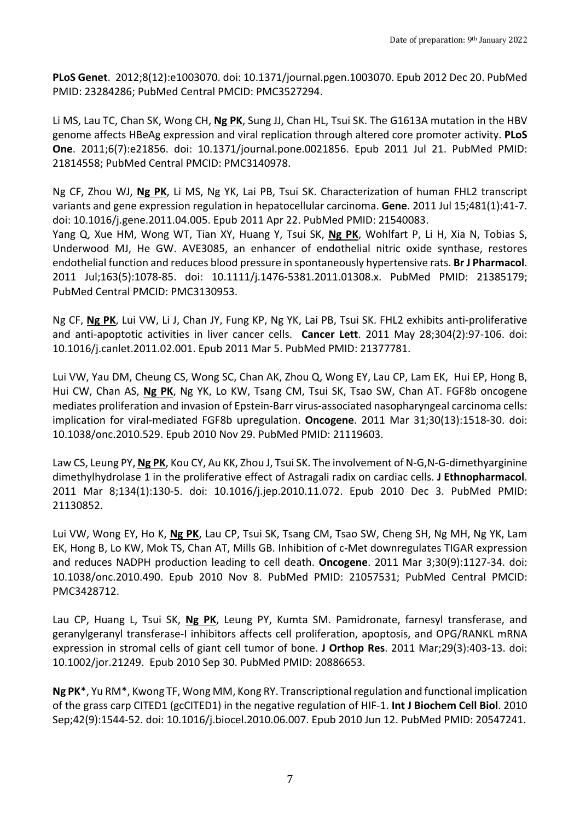**PLoS Genet**. 2012;8(12):e1003070. doi: 10.1371/journal.pgen.1003070. Epub 2012 Dec 20. PubMed PMID: 23284286; PubMed Central PMCID: PMC3527294.

Li MS, Lau TC, Chan SK, Wong CH, **Ng PK**, Sung JJ, Chan HL, Tsui SK. The G1613A mutation in the HBV genome affects HBeAg expression and viral replication through altered core promoter activity. **PLoS One**. 2011;6(7):e21856. doi: 10.1371/journal.pone.0021856. Epub 2011 Jul 21. PubMed PMID: 21814558; PubMed Central PMCID: PMC3140978.

Ng CF, Zhou WJ, **Ng PK**, Li MS, Ng YK, Lai PB, Tsui SK. Characterization of human FHL2 transcript variants and gene expression regulation in hepatocellular carcinoma. **Gene**. 2011 Jul 15;481(1):41-7. doi: 10.1016/j.gene.2011.04.005. Epub 2011 Apr 22. PubMed PMID: 21540083.

Yang Q, Xue HM, Wong WT, Tian XY, Huang Y, Tsui SK, **Ng PK**, Wohlfart P, Li H, Xia N, Tobias S, Underwood MJ, He GW. AVE3085, an enhancer of endothelial nitric oxide synthase, restores endothelial function and reduces blood pressure in spontaneously hypertensive rats. **Br J Pharmacol**. 2011 Jul;163(5):1078-85. doi: 10.1111/j.1476-5381.2011.01308.x. PubMed PMID: 21385179; PubMed Central PMCID: PMC3130953.

Ng CF, **Ng PK**, Lui VW, Li J, Chan JY, Fung KP, Ng YK, Lai PB, Tsui SK. FHL2 exhibits anti-proliferative and anti-apoptotic activities in liver cancer cells. **Cancer Lett**. 2011 May 28;304(2):97-106. doi: 10.1016/j.canlet.2011.02.001. Epub 2011 Mar 5. PubMed PMID: 21377781.

Lui VW, Yau DM, Cheung CS, Wong SC, Chan AK, Zhou Q, Wong EY, Lau CP, Lam EK, Hui EP, Hong B, Hui CW, Chan AS, **Ng PK**, Ng YK, Lo KW, Tsang CM, Tsui SK, Tsao SW, Chan AT. FGF8b oncogene mediates proliferation and invasion of Epstein-Barr virus-associated nasopharyngeal carcinoma cells: implication for viral-mediated FGF8b upregulation. **Oncogene**. 2011 Mar 31;30(13):1518-30. doi: 10.1038/onc.2010.529. Epub 2010 Nov 29. PubMed PMID: 21119603.

Law CS, Leung PY, **Ng PK**, Kou CY, Au KK, Zhou J, Tsui SK. The involvement of N-G,N-G-dimethyarginine dimethylhydrolase 1 in the proliferative effect of Astragali radix on cardiac cells. **J Ethnopharmacol**. 2011 Mar 8;134(1):130-5. doi: 10.1016/j.jep.2010.11.072. Epub 2010 Dec 3. PubMed PMID: 21130852.

Lui VW, Wong EY, Ho K, **Ng PK**, Lau CP, Tsui SK, Tsang CM, Tsao SW, Cheng SH, Ng MH, Ng YK, Lam EK, Hong B, Lo KW, Mok TS, Chan AT, Mills GB. Inhibition of c-Met downregulates TIGAR expression and reduces NADPH production leading to cell death. **Oncogene**. 2011 Mar 3;30(9):1127-34. doi: 10.1038/onc.2010.490. Epub 2010 Nov 8. PubMed PMID: 21057531; PubMed Central PMCID: PMC3428712.

Lau CP, Huang L, Tsui SK, **Ng PK**, Leung PY, Kumta SM. Pamidronate, farnesyl transferase, and geranylgeranyl transferase-I inhibitors affects cell proliferation, apoptosis, and OPG/RANKL mRNA expression in stromal cells of giant cell tumor of bone. **J Orthop Res**. 2011 Mar;29(3):403-13. doi: 10.1002/jor.21249. Epub 2010 Sep 30. PubMed PMID: 20886653.

**Ng PK**\*, Yu RM\*, Kwong TF, Wong MM, Kong RY. Transcriptional regulation and functional implication of the grass carp CITED1 (gcCITED1) in the negative regulation of HIF-1. **Int J Biochem Cell Biol**. 2010 Sep;42(9):1544-52. doi: 10.1016/j.biocel.2010.06.007. Epub 2010 Jun 12. PubMed PMID: 20547241.